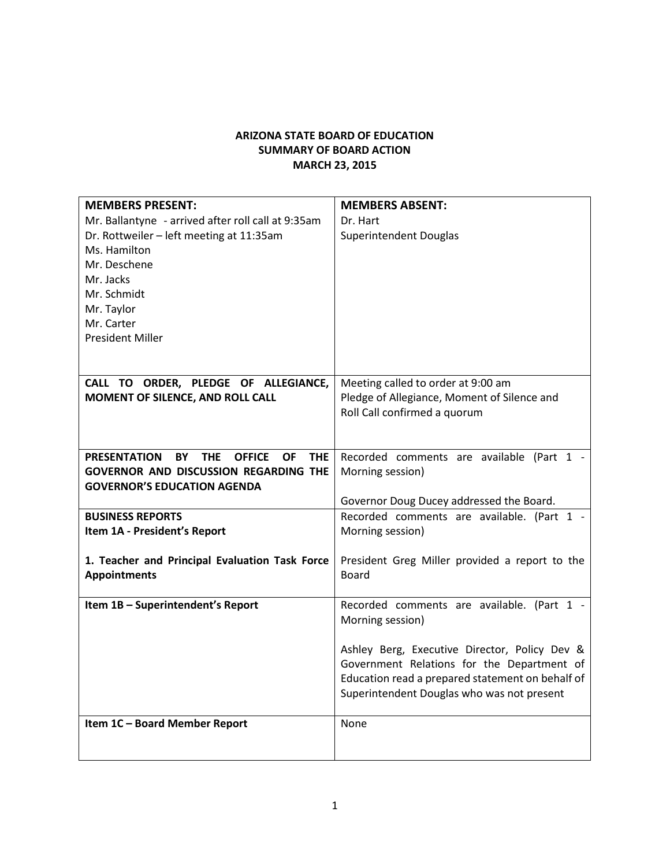## **ARIZONA STATE BOARD OF EDUCATION SUMMARY OF BOARD ACTION MARCH 23, 2015**

| <b>MEMBERS PRESENT:</b>                                                             | <b>MEMBERS ABSENT:</b>                                         |
|-------------------------------------------------------------------------------------|----------------------------------------------------------------|
| Mr. Ballantyne - arrived after roll call at 9:35am                                  | Dr. Hart                                                       |
| Dr. Rottweiler - left meeting at 11:35am                                            | Superintendent Douglas                                         |
| Ms. Hamilton                                                                        |                                                                |
| Mr. Deschene                                                                        |                                                                |
| Mr. Jacks                                                                           |                                                                |
| Mr. Schmidt                                                                         |                                                                |
| Mr. Taylor                                                                          |                                                                |
| Mr. Carter                                                                          |                                                                |
| <b>President Miller</b>                                                             |                                                                |
|                                                                                     |                                                                |
|                                                                                     |                                                                |
| CALL TO ORDER, PLEDGE OF ALLEGIANCE,                                                | Meeting called to order at 9:00 am                             |
| MOMENT OF SILENCE, AND ROLL CALL                                                    | Pledge of Allegiance, Moment of Silence and                    |
|                                                                                     | Roll Call confirmed a quorum                                   |
|                                                                                     |                                                                |
|                                                                                     |                                                                |
| <b>OFFICE</b><br><b>PRESENTATION</b><br><b>BY</b><br><b>THE</b><br>OF<br><b>THE</b> | Recorded comments are available (Part 1 -                      |
| <b>GOVERNOR AND DISCUSSION REGARDING THE</b>                                        | Morning session)                                               |
| <b>GOVERNOR'S EDUCATION AGENDA</b>                                                  |                                                                |
|                                                                                     | Governor Doug Ducey addressed the Board.                       |
| <b>BUSINESS REPORTS</b>                                                             | Recorded comments are available. (Part 1 -                     |
| Item 1A - President's Report                                                        | Morning session)                                               |
|                                                                                     |                                                                |
| 1. Teacher and Principal Evaluation Task Force<br><b>Appointments</b>               | President Greg Miller provided a report to the<br><b>Board</b> |
|                                                                                     |                                                                |
| Item 1B - Superintendent's Report                                                   | Recorded comments are available. (Part 1 -                     |
|                                                                                     | Morning session)                                               |
|                                                                                     |                                                                |
|                                                                                     | Ashley Berg, Executive Director, Policy Dev &                  |
|                                                                                     | Government Relations for the Department of                     |
|                                                                                     | Education read a prepared statement on behalf of               |
|                                                                                     | Superintendent Douglas who was not present                     |
|                                                                                     |                                                                |
| Item 1C - Board Member Report                                                       | None                                                           |
|                                                                                     |                                                                |
|                                                                                     |                                                                |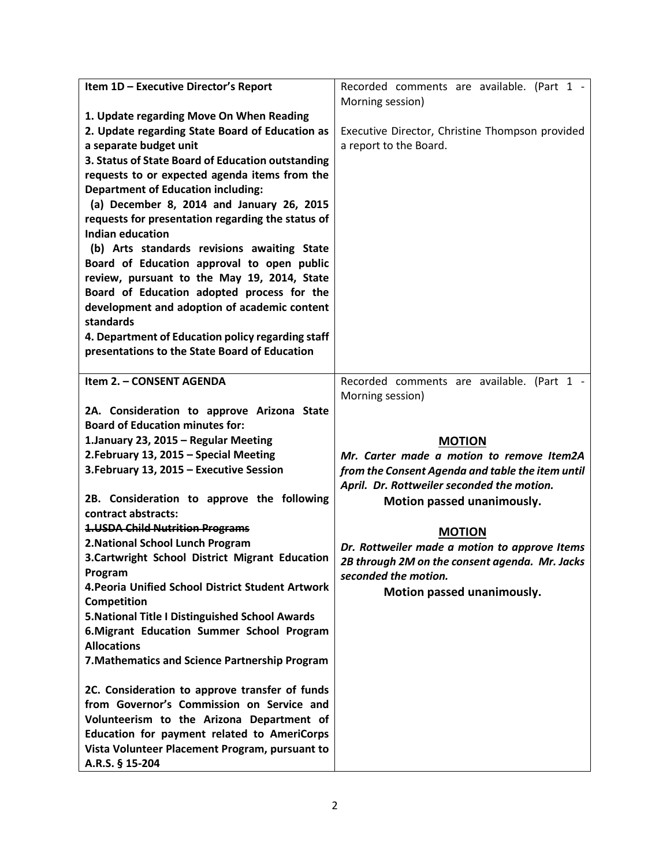| Item 1D - Executive Director's Report                             | Recorded comments are available. (Part 1 -       |
|-------------------------------------------------------------------|--------------------------------------------------|
|                                                                   | Morning session)                                 |
| 1. Update regarding Move On When Reading                          |                                                  |
| 2. Update regarding State Board of Education as                   | Executive Director, Christine Thompson provided  |
| a separate budget unit                                            | a report to the Board.                           |
| 3. Status of State Board of Education outstanding                 |                                                  |
| requests to or expected agenda items from the                     |                                                  |
| <b>Department of Education including:</b>                         |                                                  |
| (a) December 8, 2014 and January 26, 2015                         |                                                  |
| requests for presentation regarding the status of                 |                                                  |
| <b>Indian education</b>                                           |                                                  |
| (b) Arts standards revisions awaiting State                       |                                                  |
| Board of Education approval to open public                        |                                                  |
| review, pursuant to the May 19, 2014, State                       |                                                  |
| Board of Education adopted process for the                        |                                                  |
| development and adoption of academic content                      |                                                  |
| standards                                                         |                                                  |
| 4. Department of Education policy regarding staff                 |                                                  |
| presentations to the State Board of Education                     |                                                  |
|                                                                   |                                                  |
| Item 2. - CONSENT AGENDA                                          | Recorded comments are available. (Part 1 -       |
|                                                                   | Morning session)                                 |
| 2A. Consideration to approve Arizona State                        |                                                  |
| <b>Board of Education minutes for:</b>                            |                                                  |
|                                                                   |                                                  |
| 1. January 23, 2015 - Regular Meeting                             | <b>MOTION</b>                                    |
| 2. February 13, 2015 - Special Meeting                            | Mr. Carter made a motion to remove Item2A        |
| 3. February 13, 2015 - Executive Session                          | from the Consent Agenda and table the item until |
|                                                                   | April. Dr. Rottweiler seconded the motion.       |
| 2B. Consideration to approve the following                        | Motion passed unanimously.                       |
| contract abstracts:                                               |                                                  |
| <b>1.USDA Child Nutrition Programs</b>                            | <b>MOTION</b>                                    |
| 2. National School Lunch Program                                  | Dr. Rottweiler made a motion to approve Items    |
| 3.Cartwright School District Migrant Education                    | 2B through 2M on the consent agenda. Mr. Jacks   |
| Program                                                           | seconded the motion.                             |
| 4. Peoria Unified School District Student Artwork                 |                                                  |
| Competition                                                       | Motion passed unanimously.                       |
| 5. National Title I Distinguished School Awards                   |                                                  |
| 6. Migrant Education Summer School Program                        |                                                  |
| <b>Allocations</b>                                                |                                                  |
| 7. Mathematics and Science Partnership Program                    |                                                  |
|                                                                   |                                                  |
| 2C. Consideration to approve transfer of funds                    |                                                  |
| from Governor's Commission on Service and                         |                                                  |
| Volunteerism to the Arizona Department of                         |                                                  |
| Education for payment related to AmeriCorps                       |                                                  |
| Vista Volunteer Placement Program, pursuant to<br>A.R.S. § 15-204 |                                                  |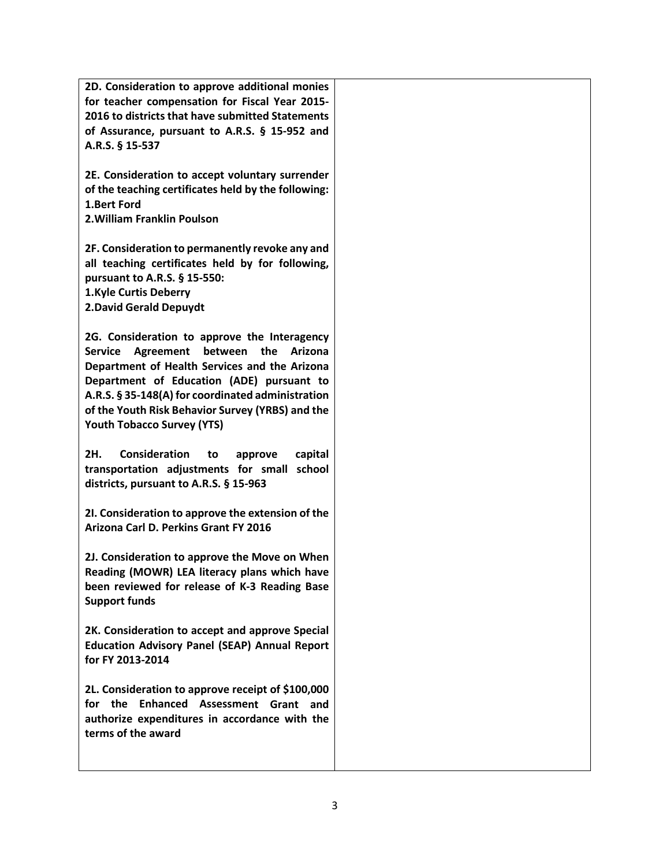**2D. Consideration to approve additional monies for teacher compensation for Fiscal Year 2015- 2016 to districts that have submitted Statements of Assurance, pursuant to A.R.S. § 15-952 and A.R.S. § 15-537**

**2E. Consideration to accept voluntary surrender of the teaching certificates held by the following: 1.Bert Ford 2.William Franklin Poulson**

**2F. Consideration to permanently revoke any and all teaching certificates held by for following, pursuant to A.R.S. § 15-550: 1.Kyle Curtis Deberry 2.David Gerald Depuydt**

**2G. Consideration to approve the Interagency Service Agreement between the Arizona Department of Health Services and the Arizona Department of Education (ADE) pursuant to A.R.S. § 35-148(A) for coordinated administration of the Youth Risk Behavior Survey (YRBS) and the Youth Tobacco Survey (YTS)**

**2H. Consideration to approve capital transportation adjustments for small school districts, pursuant to A.R.S. § 15-963**

**2I. Consideration to approve the extension of the Arizona Carl D. Perkins Grant FY 2016**

**2J. Consideration to approve the Move on When Reading (MOWR) LEA literacy plans which have been reviewed for release of K-3 Reading Base Support funds** 

**2K. Consideration to accept and approve Special Education Advisory Panel (SEAP) Annual Report for FY 2013-2014**

**2L. Consideration to approve receipt of \$100,000 for the Enhanced Assessment Grant and authorize expenditures in accordance with the terms of the award**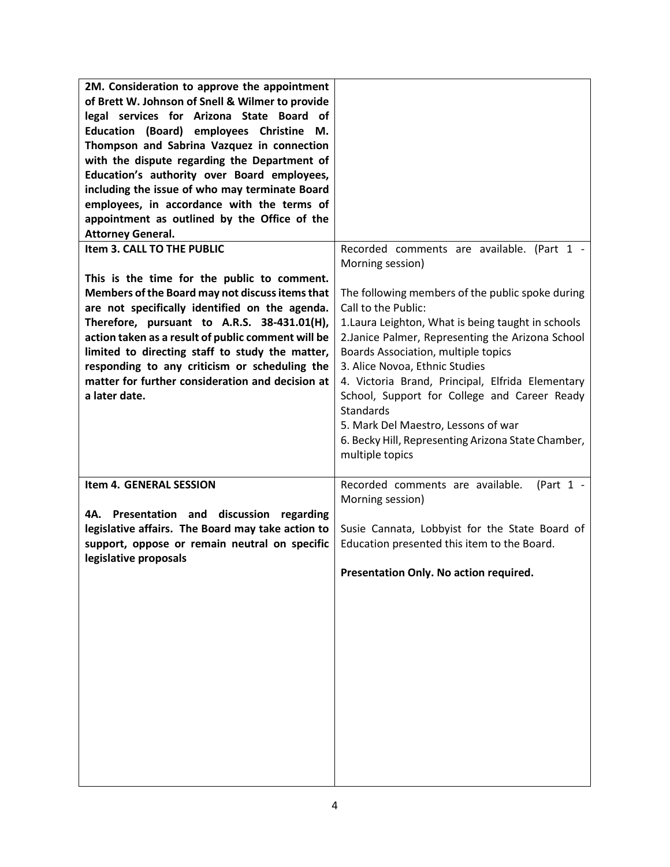| 2M. Consideration to approve the appointment<br>of Brett W. Johnson of Snell & Wilmer to provide<br>legal services for Arizona State Board of<br>Education (Board) employees Christine M.<br>Thompson and Sabrina Vazquez in connection<br>with the dispute regarding the Department of<br>Education's authority over Board employees,<br>including the issue of who may terminate Board<br>employees, in accordance with the terms of<br>appointment as outlined by the Office of the<br><b>Attorney General.</b><br>Item 3. CALL TO THE PUBLIC | Recorded comments are available. (Part 1 -                                                                                                                                                                                                                                                                                                                                                                                                                                                          |
|--------------------------------------------------------------------------------------------------------------------------------------------------------------------------------------------------------------------------------------------------------------------------------------------------------------------------------------------------------------------------------------------------------------------------------------------------------------------------------------------------------------------------------------------------|-----------------------------------------------------------------------------------------------------------------------------------------------------------------------------------------------------------------------------------------------------------------------------------------------------------------------------------------------------------------------------------------------------------------------------------------------------------------------------------------------------|
|                                                                                                                                                                                                                                                                                                                                                                                                                                                                                                                                                  | Morning session)                                                                                                                                                                                                                                                                                                                                                                                                                                                                                    |
| This is the time for the public to comment.<br>Members of the Board may not discuss items that<br>are not specifically identified on the agenda.<br>Therefore, pursuant to A.R.S. 38-431.01(H),<br>action taken as a result of public comment will be<br>limited to directing staff to study the matter,<br>responding to any criticism or scheduling the<br>matter for further consideration and decision at<br>a later date.                                                                                                                   | The following members of the public spoke during<br>Call to the Public:<br>1. Laura Leighton, What is being taught in schools<br>2. Janice Palmer, Representing the Arizona School<br>Boards Association, multiple topics<br>3. Alice Novoa, Ethnic Studies<br>4. Victoria Brand, Principal, Elfrida Elementary<br>School, Support for College and Career Ready<br><b>Standards</b><br>5. Mark Del Maestro, Lessons of war<br>6. Becky Hill, Representing Arizona State Chamber,<br>multiple topics |
| Item 4. GENERAL SESSION                                                                                                                                                                                                                                                                                                                                                                                                                                                                                                                          | Recorded comments are available.<br>(Part $1 -$                                                                                                                                                                                                                                                                                                                                                                                                                                                     |
| 4A. Presentation and discussion regarding<br>legislative affairs. The Board may take action to<br>support, oppose or remain neutral on specific<br>legislative proposals                                                                                                                                                                                                                                                                                                                                                                         | Morning session)<br>Susie Cannata, Lobbyist for the State Board of<br>Education presented this item to the Board.<br>Presentation Only. No action required.                                                                                                                                                                                                                                                                                                                                         |
|                                                                                                                                                                                                                                                                                                                                                                                                                                                                                                                                                  |                                                                                                                                                                                                                                                                                                                                                                                                                                                                                                     |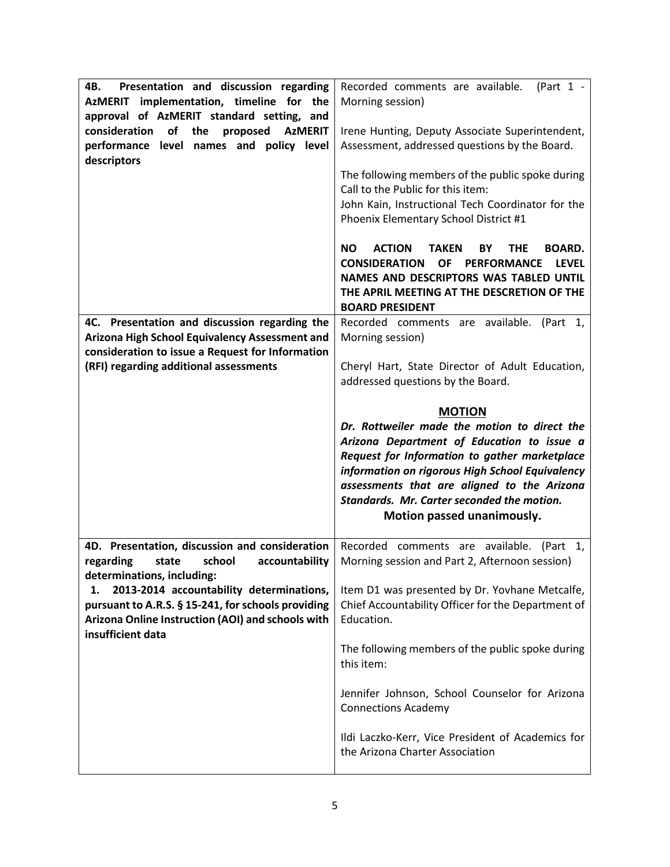| Presentation and discussion regarding<br>4B.<br>AzMERIT implementation, timeline for the<br>approval of AzMERIT standard setting, and<br>of<br>consideration<br>the<br>proposed<br><b>AzMERIT</b><br>performance level names and policy level<br>descriptors | Recorded comments are available.<br>(Part $1 -$<br>Morning session)<br>Irene Hunting, Deputy Associate Superintendent,<br>Assessment, addressed questions by the Board.<br>The following members of the public spoke during<br>Call to the Public for this item:<br>John Kain, Instructional Tech Coordinator for the<br>Phoenix Elementary School District #1<br><b>ACTION</b><br><b>TAKEN</b><br><b>BOARD.</b><br>NO.<br>BY<br><b>THE</b><br><b>CONSIDERATION</b><br><b>LEVEL</b><br><b>OF</b><br><b>PERFORMANCE</b><br>NAMES AND DESCRIPTORS WAS TABLED UNTIL |
|--------------------------------------------------------------------------------------------------------------------------------------------------------------------------------------------------------------------------------------------------------------|------------------------------------------------------------------------------------------------------------------------------------------------------------------------------------------------------------------------------------------------------------------------------------------------------------------------------------------------------------------------------------------------------------------------------------------------------------------------------------------------------------------------------------------------------------------|
|                                                                                                                                                                                                                                                              | THE APRIL MEETING AT THE DESCRETION OF THE<br><b>BOARD PRESIDENT</b>                                                                                                                                                                                                                                                                                                                                                                                                                                                                                             |
| 4C. Presentation and discussion regarding the<br>Arizona High School Equivalency Assessment and                                                                                                                                                              | Recorded comments are available. (Part 1,<br>Morning session)                                                                                                                                                                                                                                                                                                                                                                                                                                                                                                    |
| consideration to issue a Request for Information<br>(RFI) regarding additional assessments                                                                                                                                                                   | Cheryl Hart, State Director of Adult Education,<br>addressed questions by the Board.                                                                                                                                                                                                                                                                                                                                                                                                                                                                             |
|                                                                                                                                                                                                                                                              | <b>MOTION</b><br>Dr. Rottweiler made the motion to direct the<br>Arizona Department of Education to issue a<br>Request for Information to gather marketplace<br>information on rigorous High School Equivalency<br>assessments that are aligned to the Arizona<br>Standards. Mr. Carter seconded the motion.<br>Motion passed unanimously.                                                                                                                                                                                                                       |
| 4D. Presentation, discussion and consideration<br>school<br>accountability<br>regarding<br>state<br>determinations, including:                                                                                                                               | Recorded comments are available. (Part 1,<br>Morning session and Part 2, Afternoon session)                                                                                                                                                                                                                                                                                                                                                                                                                                                                      |
| 2013-2014 accountability determinations,<br>1.<br>pursuant to A.R.S. § 15-241, for schools providing<br>Arizona Online Instruction (AOI) and schools with<br>insufficient data                                                                               | Item D1 was presented by Dr. Yovhane Metcalfe,<br>Chief Accountability Officer for the Department of<br>Education.                                                                                                                                                                                                                                                                                                                                                                                                                                               |
|                                                                                                                                                                                                                                                              | The following members of the public spoke during<br>this item:                                                                                                                                                                                                                                                                                                                                                                                                                                                                                                   |
|                                                                                                                                                                                                                                                              | Jennifer Johnson, School Counselor for Arizona<br><b>Connections Academy</b>                                                                                                                                                                                                                                                                                                                                                                                                                                                                                     |
|                                                                                                                                                                                                                                                              | Ildi Laczko-Kerr, Vice President of Academics for<br>the Arizona Charter Association                                                                                                                                                                                                                                                                                                                                                                                                                                                                             |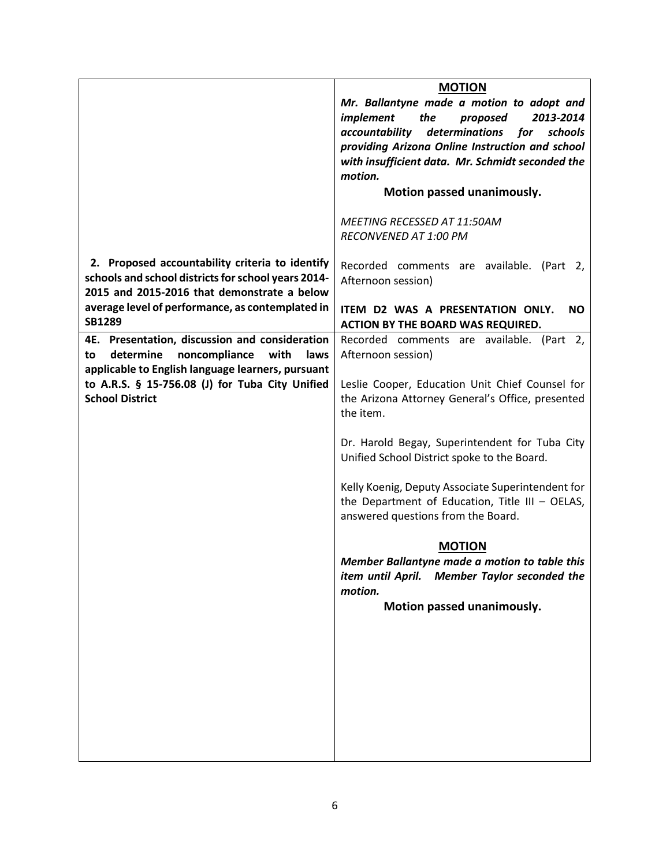|                                                                                                      | <b>MOTION</b>                                      |
|------------------------------------------------------------------------------------------------------|----------------------------------------------------|
|                                                                                                      | Mr. Ballantyne made a motion to adopt and          |
|                                                                                                      | implement<br>the<br>proposed<br>2013-2014          |
|                                                                                                      | determinations<br>accountability<br>schools<br>for |
|                                                                                                      | providing Arizona Online Instruction and school    |
|                                                                                                      | with insufficient data. Mr. Schmidt seconded the   |
|                                                                                                      | motion.                                            |
|                                                                                                      | Motion passed unanimously.                         |
|                                                                                                      | MEETING RECESSED AT 11:50AM                        |
|                                                                                                      | RECONVENED AT 1:00 PM                              |
|                                                                                                      |                                                    |
| 2. Proposed accountability criteria to identify                                                      | Recorded comments are available. (Part<br>-2.      |
| schools and school districts for school years 2014-                                                  | Afternoon session)                                 |
| 2015 and 2015-2016 that demonstrate a below                                                          |                                                    |
| average level of performance, as contemplated in                                                     | ITEM D2 WAS A PRESENTATION ONLY.<br><b>NO</b>      |
| <b>SB1289</b>                                                                                        | ACTION BY THE BOARD WAS REQUIRED.                  |
| 4E. Presentation, discussion and consideration                                                       | Recorded comments are available. (Part 2,          |
| determine<br>noncompliance<br>with<br>laws<br>to                                                     | Afternoon session)                                 |
| applicable to English language learners, pursuant<br>to A.R.S. § 15-756.08 (J) for Tuba City Unified | Leslie Cooper, Education Unit Chief Counsel for    |
| <b>School District</b>                                                                               | the Arizona Attorney General's Office, presented   |
|                                                                                                      | the item.                                          |
|                                                                                                      |                                                    |
|                                                                                                      | Dr. Harold Begay, Superintendent for Tuba City     |
|                                                                                                      | Unified School District spoke to the Board.        |
|                                                                                                      |                                                    |
|                                                                                                      | Kelly Koenig, Deputy Associate Superintendent for  |
|                                                                                                      | the Department of Education, Title III - OELAS,    |
|                                                                                                      | answered questions from the Board.                 |
|                                                                                                      | <b>MOTION</b>                                      |
|                                                                                                      | Member Ballantyne made a motion to table this      |
|                                                                                                      | item until April. Member Taylor seconded the       |
|                                                                                                      | motion.                                            |
|                                                                                                      | Motion passed unanimously.                         |
|                                                                                                      |                                                    |
|                                                                                                      |                                                    |
|                                                                                                      |                                                    |
|                                                                                                      |                                                    |
|                                                                                                      |                                                    |
|                                                                                                      |                                                    |
|                                                                                                      |                                                    |
|                                                                                                      |                                                    |
|                                                                                                      |                                                    |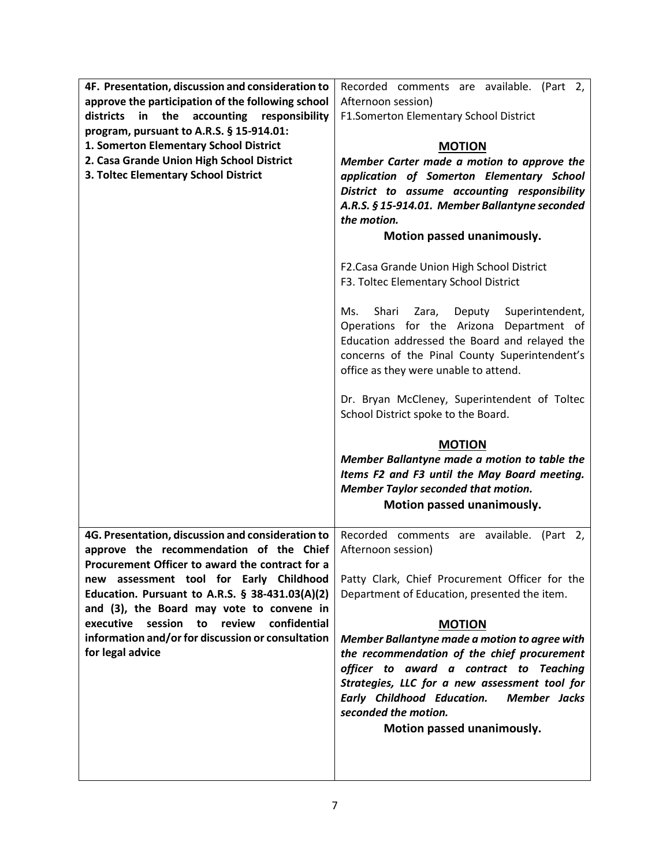| 4F. Presentation, discussion and consideration to<br>approve the participation of the following school<br>accounting responsibility<br>districts<br>in<br>the<br>program, pursuant to A.R.S. § 15-914.01:<br>1. Somerton Elementary School District<br>2. Casa Grande Union High School District<br>3. Toltec Elementary School District                                                                                    | Recorded comments are available. (Part 2,<br>Afternoon session)<br>F1.Somerton Elementary School District<br><b>MOTION</b><br>Member Carter made a motion to approve the<br>application of Somerton Elementary School<br>District to assume accounting responsibility<br>A.R.S. § 15-914.01. Member Ballantyne seconded<br>the motion.<br>Motion passed unanimously.<br>F2. Casa Grande Union High School District                                                                                                                                                  |
|-----------------------------------------------------------------------------------------------------------------------------------------------------------------------------------------------------------------------------------------------------------------------------------------------------------------------------------------------------------------------------------------------------------------------------|---------------------------------------------------------------------------------------------------------------------------------------------------------------------------------------------------------------------------------------------------------------------------------------------------------------------------------------------------------------------------------------------------------------------------------------------------------------------------------------------------------------------------------------------------------------------|
|                                                                                                                                                                                                                                                                                                                                                                                                                             | F3. Toltec Elementary School District<br>Shari<br>Superintendent,<br>Ms.<br>Zara, Deputy<br>Operations for the Arizona Department of<br>Education addressed the Board and relayed the<br>concerns of the Pinal County Superintendent's<br>office as they were unable to attend.<br>Dr. Bryan McCleney, Superintendent of Toltec<br>School District spoke to the Board.<br><b>MOTION</b><br>Member Ballantyne made a motion to table the<br>Items F2 and F3 until the May Board meeting.<br><b>Member Taylor seconded that motion.</b><br>Motion passed unanimously. |
| 4G. Presentation, discussion and consideration to<br>approve the recommendation of the Chief<br>Procurement Officer to award the contract for a<br>new assessment tool for Early Childhood<br>Education. Pursuant to A.R.S. § 38-431.03(A)(2)<br>and (3), the Board may vote to convene in<br>session<br>review<br>confidential<br>executive<br>to<br>information and/or for discussion or consultation<br>for legal advice | Recorded comments are available. (Part 2,<br>Afternoon session)<br>Patty Clark, Chief Procurement Officer for the<br>Department of Education, presented the item.<br><b>MOTION</b><br>Member Ballantyne made a motion to agree with<br>the recommendation of the chief procurement<br>officer to award a contract to Teaching<br>Strategies, LLC for a new assessment tool for<br><b>Early Childhood Education.</b><br>Member Jacks<br>seconded the motion.<br>Motion passed unanimously.                                                                           |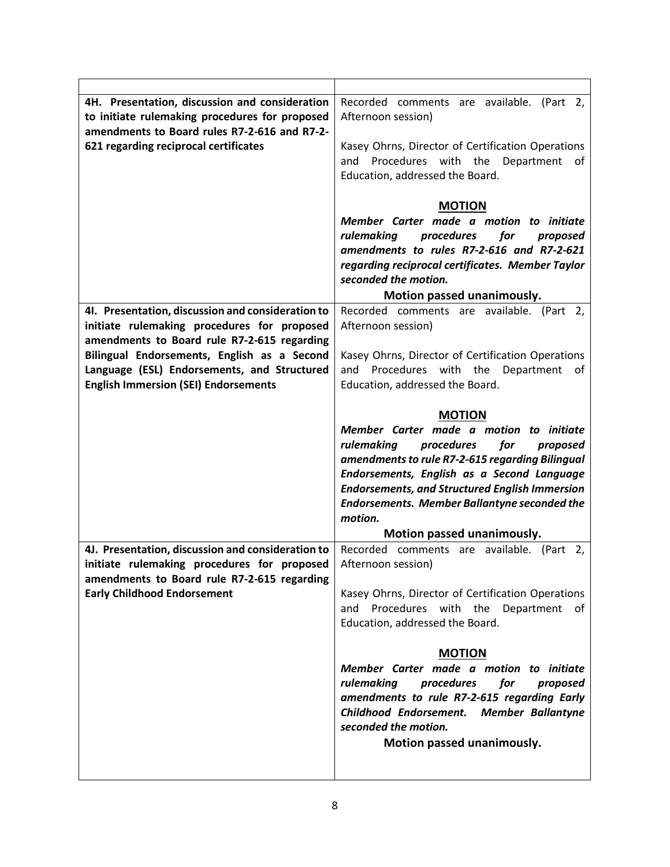| 4H. Presentation, discussion and consideration<br>to initiate rulemaking procedures for proposed<br>amendments to Board rules R7-2-616 and R7-2-<br>621 regarding reciprocal certificates | Recorded comments are available. (Part 2,<br>Afternoon session)<br>Kasey Ohrns, Director of Certification Operations<br>Procedures with the<br>Department<br>and<br>of<br>Education, addressed the Board.                                                                                                                                                 |
|-------------------------------------------------------------------------------------------------------------------------------------------------------------------------------------------|-----------------------------------------------------------------------------------------------------------------------------------------------------------------------------------------------------------------------------------------------------------------------------------------------------------------------------------------------------------|
|                                                                                                                                                                                           | <b>MOTION</b>                                                                                                                                                                                                                                                                                                                                             |
|                                                                                                                                                                                           | Member Carter made a motion to initiate<br>rulemaking<br>procedures<br>for<br>proposed<br>amendments to rules R7-2-616 and R7-2-621<br>regarding reciprocal certificates. Member Taylor<br>seconded the motion.                                                                                                                                           |
|                                                                                                                                                                                           | Motion passed unanimously.                                                                                                                                                                                                                                                                                                                                |
| 41. Presentation, discussion and consideration to<br>initiate rulemaking procedures for proposed<br>amendments to Board rule R7-2-615 regarding                                           | Recorded comments are available. (Part 2,<br>Afternoon session)                                                                                                                                                                                                                                                                                           |
| Bilingual Endorsements, English as a Second<br>Language (ESL) Endorsements, and Structured<br><b>English Immersion (SEI) Endorsements</b>                                                 | Kasey Ohrns, Director of Certification Operations<br>Procedures with the<br>Department<br>and<br>of<br>Education, addressed the Board.                                                                                                                                                                                                                    |
|                                                                                                                                                                                           | <b>MOTION</b>                                                                                                                                                                                                                                                                                                                                             |
|                                                                                                                                                                                           | Member Carter made a motion to initiate<br>rulemaking<br>procedures<br>for<br>proposed<br>amendments to rule R7-2-615 regarding Bilingual<br>Endorsements, English as a Second Language<br><b>Endorsements, and Structured English Immersion</b><br><b>Endorsements. Member Ballantyne seconded the</b><br>motion.<br>Motion passed unanimously.          |
| 4J. Presentation, discussion and consideration to                                                                                                                                         | Recorded comments are available.<br>(Part 2, 2)                                                                                                                                                                                                                                                                                                           |
| initiate rulemaking procedures for proposed<br>amendments to Board rule R7-2-615 regarding<br><b>Early Childhood Endorsement</b>                                                          | Afternoon session)<br>Kasey Ohrns, Director of Certification Operations<br>and Procedures with the Department of<br>Education, addressed the Board.<br><b>MOTION</b><br>Member Carter made a motion to initiate<br>rulemaking<br>procedures<br>for<br>proposed<br>amendments to rule R7-2-615 regarding Early<br>Childhood Endorsement. Member Ballantyne |
|                                                                                                                                                                                           | seconded the motion.<br>Motion passed unanimously.                                                                                                                                                                                                                                                                                                        |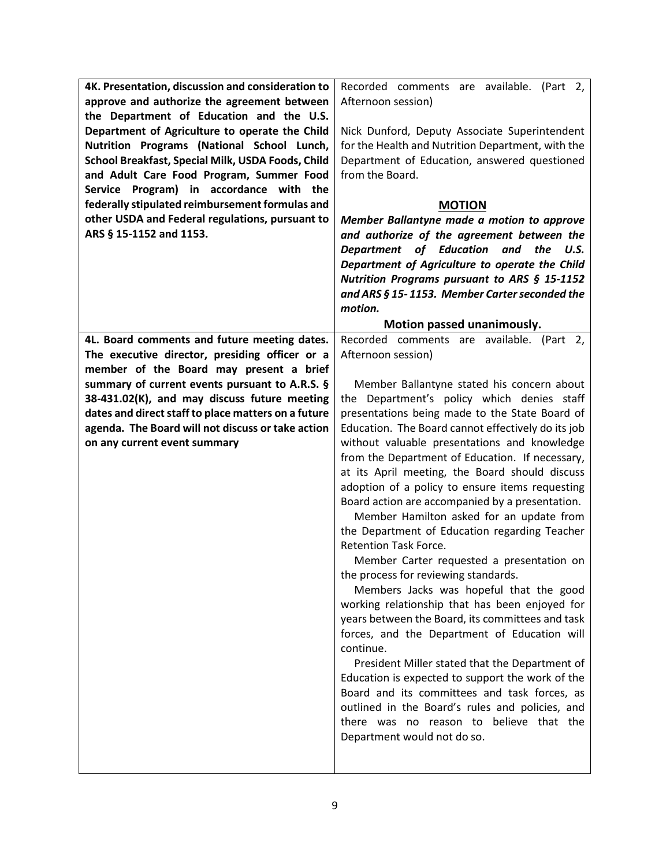| 4K. Presentation, discussion and consideration to   | Recorded comments are available. (Part 2,                                                       |
|-----------------------------------------------------|-------------------------------------------------------------------------------------------------|
| approve and authorize the agreement between         | Afternoon session)                                                                              |
| the Department of Education and the U.S.            |                                                                                                 |
| Department of Agriculture to operate the Child      | Nick Dunford, Deputy Associate Superintendent                                                   |
| Nutrition Programs (National School Lunch,          | for the Health and Nutrition Department, with the                                               |
| School Breakfast, Special Milk, USDA Foods, Child   | Department of Education, answered questioned                                                    |
| and Adult Care Food Program, Summer Food            | from the Board.                                                                                 |
| Service Program) in accordance with the             |                                                                                                 |
| federally stipulated reimbursement formulas and     | <b>MOTION</b>                                                                                   |
| other USDA and Federal regulations, pursuant to     | Member Ballantyne made a motion to approve                                                      |
| ARS § 15-1152 and 1153.                             | and authorize of the agreement between the                                                      |
|                                                     | Department of Education<br>the<br>and<br>U.S.                                                   |
|                                                     | Department of Agriculture to operate the Child                                                  |
|                                                     | Nutrition Programs pursuant to ARS § 15-1152                                                    |
|                                                     | and ARS § 15-1153. Member Carter seconded the                                                   |
|                                                     | motion.                                                                                         |
|                                                     | Motion passed unanimously.                                                                      |
| 4L. Board comments and future meeting dates.        | Recorded comments are available. (Part 2,                                                       |
| The executive director, presiding officer or a      | Afternoon session)                                                                              |
| member of the Board may present a brief             |                                                                                                 |
| summary of current events pursuant to A.R.S. §      | Member Ballantyne stated his concern about                                                      |
| 38-431.02(K), and may discuss future meeting        | the Department's policy which denies staff                                                      |
| dates and direct staff to place matters on a future | presentations being made to the State Board of                                                  |
| agenda. The Board will not discuss or take action   | Education. The Board cannot effectively do its job                                              |
| on any current event summary                        | without valuable presentations and knowledge<br>from the Department of Education. If necessary, |
|                                                     | at its April meeting, the Board should discuss                                                  |
|                                                     | adoption of a policy to ensure items requesting                                                 |
|                                                     | Board action are accompanied by a presentation.                                                 |
|                                                     | Member Hamilton asked for an update from                                                        |
|                                                     | the Department of Education regarding Teacher                                                   |
|                                                     | Retention Task Force.                                                                           |
|                                                     | Member Carter requested a presentation on                                                       |
|                                                     | the process for reviewing standards.                                                            |
|                                                     | Members Jacks was hopeful that the good                                                         |
|                                                     | working relationship that has been enjoyed for                                                  |
|                                                     | years between the Board, its committees and task                                                |
|                                                     | forces, and the Department of Education will                                                    |
|                                                     | continue.                                                                                       |
|                                                     | President Miller stated that the Department of                                                  |
|                                                     | Education is expected to support the work of the                                                |
|                                                     | Board and its committees and task forces, as                                                    |
|                                                     | outlined in the Board's rules and policies, and                                                 |
|                                                     | there was no reason to believe that the                                                         |
|                                                     | Department would not do so.                                                                     |
|                                                     |                                                                                                 |
|                                                     |                                                                                                 |